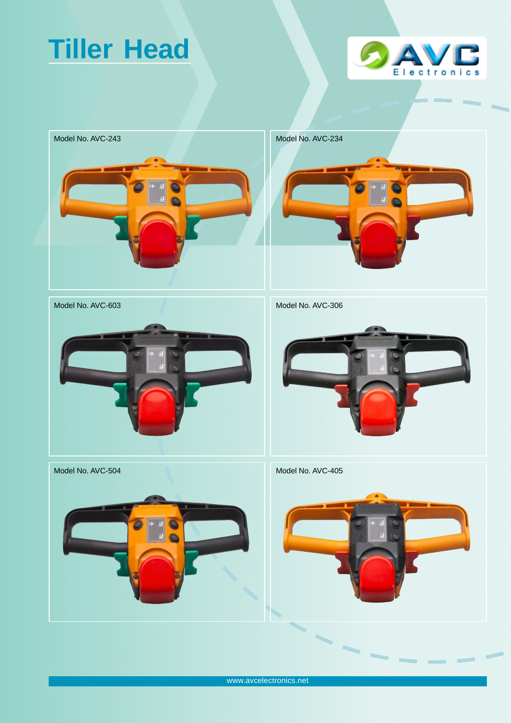## **Tiller Head**